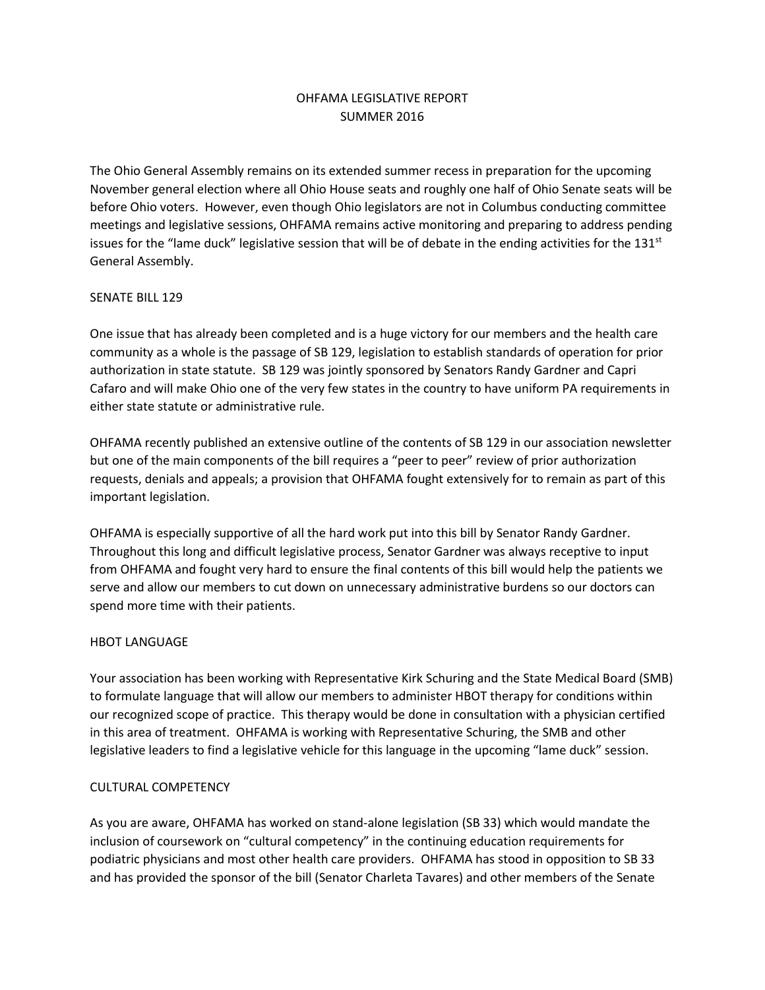# OHFAMA LEGISLATIVE REPORT SUMMER 2016

The Ohio General Assembly remains on its extended summer recess in preparation for the upcoming November general election where all Ohio House seats and roughly one half of Ohio Senate seats will be before Ohio voters. However, even though Ohio legislators are not in Columbus conducting committee meetings and legislative sessions, OHFAMA remains active monitoring and preparing to address pending issues for the "lame duck" legislative session that will be of debate in the ending activities for the  $131<sup>st</sup>$ General Assembly.

## SENATE BILL 129

One issue that has already been completed and is a huge victory for our members and the health care community as a whole is the passage of SB 129, legislation to establish standards of operation for prior authorization in state statute. SB 129 was jointly sponsored by Senators Randy Gardner and Capri Cafaro and will make Ohio one of the very few states in the country to have uniform PA requirements in either state statute or administrative rule.

OHFAMA recently published an extensive outline of the contents of SB 129 in our association newsletter but one of the main components of the bill requires a "peer to peer" review of prior authorization requests, denials and appeals; a provision that OHFAMA fought extensively for to remain as part of this important legislation.

OHFAMA is especially supportive of all the hard work put into this bill by Senator Randy Gardner. Throughout this long and difficult legislative process, Senator Gardner was always receptive to input from OHFAMA and fought very hard to ensure the final contents of this bill would help the patients we serve and allow our members to cut down on unnecessary administrative burdens so our doctors can spend more time with their patients.

### HBOT LANGUAGE

Your association has been working with Representative Kirk Schuring and the State Medical Board (SMB) to formulate language that will allow our members to administer HBOT therapy for conditions within our recognized scope of practice. This therapy would be done in consultation with a physician certified in this area of treatment. OHFAMA is working with Representative Schuring, the SMB and other legislative leaders to find a legislative vehicle for this language in the upcoming "lame duck" session.

### CULTURAL COMPETENCY

As you are aware, OHFAMA has worked on stand-alone legislation (SB 33) which would mandate the inclusion of coursework on "cultural competency" in the continuing education requirements for podiatric physicians and most other health care providers. OHFAMA has stood in opposition to SB 33 and has provided the sponsor of the bill (Senator Charleta Tavares) and other members of the Senate